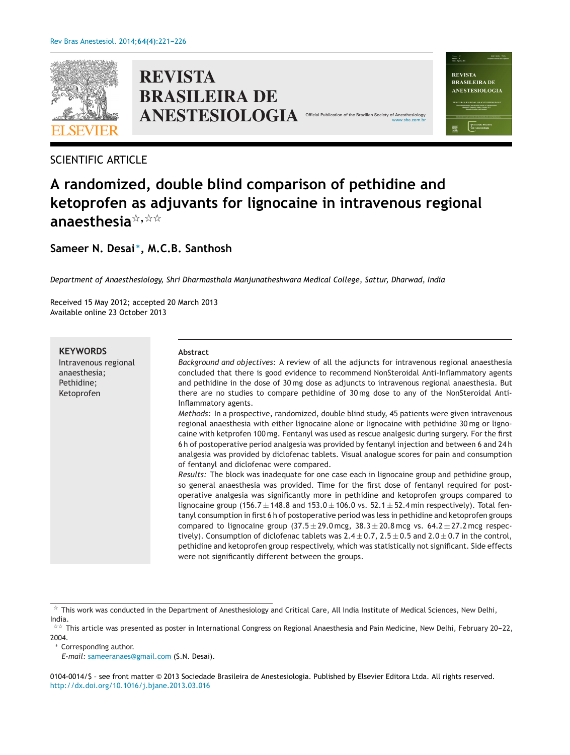

# **REVISTA BRASILEIRA DE ANESTESIOLOGIA** Official



# **A randomized, double blind comparison of pethidine and ketoprofen as adjuvants for lignocaine in intravenous regional anaesthesia**-**,**--

[www.sba.com.br](http://www.sba.com.br)

Values 43<br>Nimers 4 **REVISTA BRASILEIRA DE** ANESTESIOLOGIA

**Sameer N. Desai <sup>∗</sup>, M.C.B. Santhosh**

*Department of Anaesthesiology, Shri Dharmasthala Manjunatheshwara Medical College, Sattur, Dharwad, India*

Received 15 May 2012; accepted 20 March 2013 Available online 23 October 2013

| <b>KEYWORDS</b>                                    | <b>Abstract</b>                                                                                                                                                                                                                                                                                                                                                                                                                                                                                                                                                                                                                                                                                                                                                                                                                                                                                                               |
|----------------------------------------------------|-------------------------------------------------------------------------------------------------------------------------------------------------------------------------------------------------------------------------------------------------------------------------------------------------------------------------------------------------------------------------------------------------------------------------------------------------------------------------------------------------------------------------------------------------------------------------------------------------------------------------------------------------------------------------------------------------------------------------------------------------------------------------------------------------------------------------------------------------------------------------------------------------------------------------------|
| Intravenous regional<br>anaesthesia;<br>Pethidine; | Background and objectives: A review of all the adjuncts for intravenous regional anaesthesia<br>concluded that there is good evidence to recommend NonSteroidal Anti-Inflammatory agents<br>and pethidine in the dose of 30 mg dose as adjuncts to intravenous regional anaesthesia. But                                                                                                                                                                                                                                                                                                                                                                                                                                                                                                                                                                                                                                      |
| Ketoprofen                                         | there are no studies to compare pethidine of 30 mg dose to any of the NonSteroidal Anti-<br>Inflammatory agents.                                                                                                                                                                                                                                                                                                                                                                                                                                                                                                                                                                                                                                                                                                                                                                                                              |
|                                                    | Methods: In a prospective, randomized, double blind study, 45 patients were given intravenous<br>regional anaesthesia with either lignocaine alone or lignocaine with pethidine 30 mg or ligno-<br>caine with ketprofen 100 mg. Fentanyl was used as rescue analgesic during surgery. For the first<br>6h of postoperative period analgesia was provided by fentanyl injection and between 6 and 24h<br>analgesia was provided by diclofenac tablets. Visual analogue scores for pain and consumption<br>of fentanyl and diclofenac were compared.                                                                                                                                                                                                                                                                                                                                                                            |
|                                                    | Results: The block was inadequate for one case each in lignocaine group and pethidine group,<br>so general anaesthesia was provided. Time for the first dose of fentanyl required for post-<br>operative analgesia was significantly more in pethidine and ketoprofen groups compared to<br>lignocaine group (156.7 $\pm$ 148.8 and 153.0 $\pm$ 106.0 vs. 52.1 $\pm$ 52.4 min respectively). Total fen-<br>tanyl consumption in first 6 h of postoperative period was less in pethidine and ketoprofen groups<br>compared to lignocaine group $(37.5 \pm 29.0 \text{ mcg}, 38.3 \pm 20.8 \text{ mcg}$ vs. $64.2 \pm 27.2 \text{ mcg}$ respec-<br>tively). Consumption of diclofenac tablets was $2.4 \pm 0.7$ , $2.5 \pm 0.5$ and $2.0 \pm 0.7$ in the control,<br>pethidine and ketoprofen group respectively, which was statistically not significant. Side effects<br>were not significantly different between the groups. |

∗ Corresponding author.

*E-mail:* [sameeranaes@gmail.com](mailto:sameeranaes@gmail.com) (S.N. Desai).

0104-0014/\$ – see front matter © 2013 Sociedade Brasileira de Anestesiologia. Published by Elsevier Editora Ltda. All rights reserved. [http://dx.doi.org/10.1016/j.bjane.2013.03.016](dx.doi.org/10.1016/j.bjane.2013.03.016)

 $^\star$  This work was conducted in the Department of Anesthesiology and Critical Care, All India Institute of Medical Sciences, New Delhi, India.

 $^{\star\star}$  This article was presented as poster in International Congress on Regional Anaesthesia and Pain Medicine, New Delhi, February 20–22, 2004.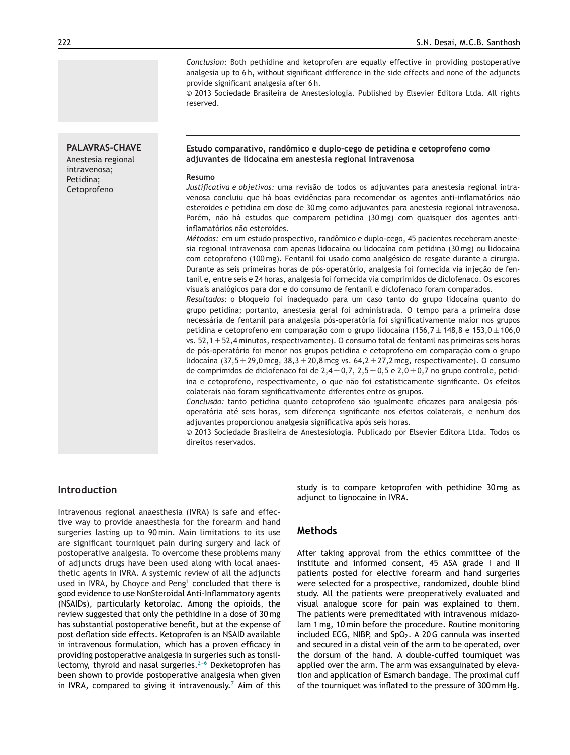**PALAVRAS-CHAVE** Anestesia regional intravenosa; Petidina; Cetoprofeno

*Conclusion:* Both pethidine and ketoprofen are equally effective in providing postoperative analgesia up to 6 h, without significant difference in the side effects and none of the adjuncts provide significant analgesia after 6 h.

© 2013 Sociedade Brasileira de Anestesiologia. Published by Elsevier Editora Ltda. All rights reserved.

#### **Estudo comparativo, randômico e duplo-cego de petidina e cetoprofeno como adjuvantes de lidocaína em anestesia regional intravenosa**

#### **Resumo**

*Justificativa e objetivos:* uma revisão de todos os adjuvantes para anestesia regional intravenosa concluiu que há boas evidências para recomendar os agentes anti-inflamatórios não esteroides e petidina em dose de 30 mg como adjuvantes para anestesia regional intravenosa. Porém, não há estudos que comparem petidina (30 mg) com quaisquer dos agentes antiinflamatórios não esteroides.

*Métodos:* em um estudo prospectivo, randômico e duplo-cego, 45 pacientes receberam anestesia regional intravenosa com apenas lidocaína ou lidocaína com petidina (30 mg) ou lidocaína com cetoprofeno (100 mg). Fentanil foi usado como analgésico de resgate durante a cirurgia. Durante as seis primeiras horas de pós-operatório, analgesia foi fornecida via injecão de fentanil e, entre seis e 24 horas, analgesia foi fornecida via comprimidos de diclofenaco. Os escores visuais analógicos para dor e do consumo de fentanil e diclofenaco foram comparados.

*Resultados:* o bloqueio foi inadequado para um caso tanto do grupo lidocaína quanto do grupo petidina; portanto, anestesia geral foi administrada. O tempo para a primeira dose necessária de fentanil para analgesia pós-operatória foi significativamente maior nos grupos petidina e cetoprofeno em comparação com o grupo lidocaína (156,7  $\pm$  148,8 e 153,0  $\pm$  106,0 vs.  $52.1 \pm 52.4$  minutos, respectivamente). O consumo total de fentanil nas primeiras seis horas de pós-operatório foi menor nos grupos petidina e cetoprofeno em comparação com o grupo lidocaína  $(37.5 \pm 29.0 \text{ mcg}, 38.3 \pm 20.8 \text{ mcg}$  vs.  $64.2 \pm 27.2 \text{ mcg}$ , respectivamente). O consumo de comprimidos de diclofenaco foi de  $2,4 \pm 0,7$ ,  $2,5 \pm 0,5$  e  $2,0 \pm 0,7$  no grupo controle, petidina e cetoprofeno, respectivamente, o que não foi estatisticamente significante. Os efeitos colaterais não foram significativamente diferentes entre os grupos.

*Conclusão:* tanto petidina quanto cetoprofeno são igualmente eficazes para analgesia pósoperatória até seis horas, sem diferença significante nos efeitos colaterais, e nenhum dos adjuvantes proporcionou analgesia significativa após seis horas.

© 2013 Sociedade Brasileira de Anestesiologia. Publicado por Elsevier Editora Ltda. Todos os direitos reservados.

### **Introduction**

Intravenous regional anaesthesia (IVRA) is safe and effective way to provide anaesthesia for the forearm and hand surgeries lasting up to 90 min. Main limitations to its use are significant tourniquet pain during surgery and lack of postoperative analgesia. To overcome these problems many of adjuncts drugs have been used along with local anaesthetic agents in IVRA. A systemic review of all the adjuncts used in IVRA, by Choyce and Peng<sup>[1](#page-4-0)</sup> concluded that there is good evidence to use NonSteroidal Anti-Inflammatory agents (NSAIDs), particularly ketorolac. Among the opioids, the review suggested that only the pethidine in a dose of 30 mg has substantial postoperative benefit, but at the expense of post deflation side effects. Ketoprofen is an NSAID available in intravenous formulation, which has a proven efficacy in providing postoperative analgesia in surgeries such as tonsillectomy, thyroid and nasal surgeries. $2-6$  Dexketoprofen has been shown to provide postoperative analgesia when given in IVRA, compared to giving it intravenously.<sup>[7](#page-4-0)</sup> Aim of this study is to compare ketoprofen with pethidine 30 mg as adjunct to lignocaine in IVRA.

### **Methods**

After taking approval from the ethics committee of the institute and informed consent, 45 ASA grade I and II patients posted for elective forearm and hand surgeries were selected for a prospective, randomized, double blind study. All the patients were preoperatively evaluated and visual analogue score for pain was explained to them. The patients were premeditated with intravenous midazolam 1 mg, 10 min before the procedure. Routine monitoring included ECG, NIBP, and  $SpO<sub>2</sub>$ . A 20G cannula was inserted and secured in a distal vein of the arm to be operated, over the dorsum of the hand. A double-cuffed tourniquet was applied over the arm. The arm was exsanguinated by elevation and application of Esmarch bandage. The proximal cuff of the tourniquet was inflated to the pressure of 300 mm Hg.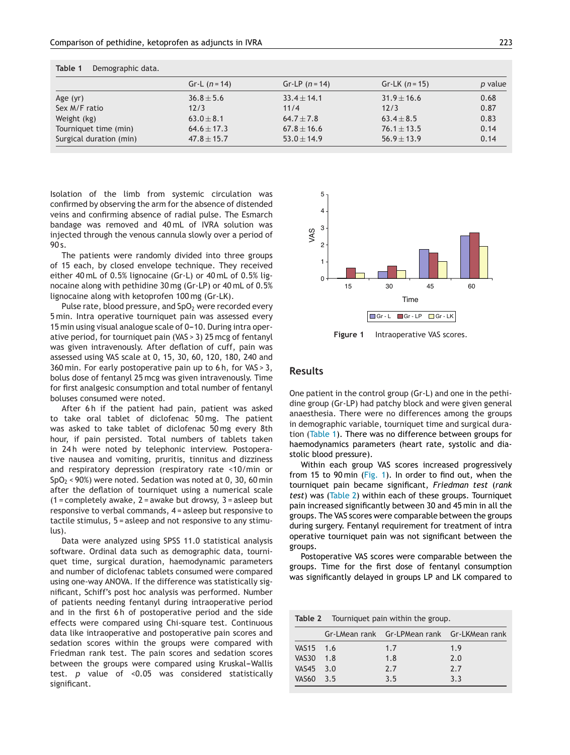|                         | Gr-L $(n = 14)$ | Gr-LP $(n = 14)$ | $Gr-LK$ ( <i>n</i> = 15) | p value |
|-------------------------|-----------------|------------------|--------------------------|---------|
| Age $(yr)$              | $36.8 \pm 5.6$  | $33.4 \pm 14.1$  | $31.9 \pm 16.6$          | 0.68    |
| Sex M/F ratio           | 12/3            | 11/4             | 12/3                     | 0.87    |
| Weight (kg)             | $63.0 + 8.1$    | $64.7 \pm 7.8$   | $63.4 \pm 8.5$           | 0.83    |
| Tourniquet time (min)   | $64.6 \pm 17.3$ | $67.8 \pm 16.6$  | $76.1 \pm 13.5$          | 0.14    |
| Surgical duration (min) | $47.8 \pm 15.7$ | $53.0 \pm 14.9$  | $56.9 \pm 13.9$          | 0.14    |

|  | Table 1 | Demographic data. |  |
|--|---------|-------------------|--|
|--|---------|-------------------|--|

Isolation of the limb from systemic circulation was confirmed by observing the arm for the absence of distended veins and confirming absence of radial pulse. The Esmarch bandage was removed and 40 mL of IVRA solution was injected through the venous cannula slowly over a period of 90 s.

The patients were randomly divided into three groups of 15 each, by closed envelope technique. They received either 40 mL of 0.5% lignocaine (Gr-L) or 40 mL of 0.5% lignocaine along with pethidine 30 mg (Gr-LP) or 40 mL of 0.5% lignocaine along with ketoprofen 100 mg (Gr-LK).

Pulse rate, blood pressure, and  $SpO<sub>2</sub>$  were recorded every 5 min. Intra operative tourniquet pain was assessed every 15 min using visual analogue scale of 0-10. During intra operative period, for tourniquet pain (VAS > 3) 25 mcg of fentanyl was given intravenously. After deflation of cuff, pain was assessed using VAS scale at 0, 15, 30, 60, 120, 180, 240 and 360 min. For early postoperative pain up to 6 h, for VAS > 3, bolus dose of fentanyl 25 mcg was given intravenously. Time for first analgesic consumption and total number of fentanyl boluses consumed were noted.

After 6h if the patient had pain, patient was asked to take oral tablet of diclofenac 50 mg. The patient was asked to take tablet of diclofenac 50 mg every 8th hour, if pain persisted. Total numbers of tablets taken in 24h were noted by telephonic interview. Postoperative nausea and vomiting, pruritis, tinnitus and dizziness and respiratory depression (respiratory rate <10/min or  $SpO<sub>2</sub>$  < 90%) were noted. Sedation was noted at 0, 30, 60 min after the deflation of tourniquet using a numerical scale  $(1 =$  completely awake,  $2 =$  awake but drowsy,  $3 =$  asleep but responsive to verbal commands, 4 = asleep but responsive to tactile stimulus, 5 = asleep and not responsive to any stimulus).

Data were analyzed using SPSS 11.0 statistical analysis software. Ordinal data such as demographic data, tourniquet time, surgical duration, haemodynamic parameters and number of diclofenac tablets consumed were compared using one-way ANOVA. If the difference was statistically significant, Schiff's post hoc analysis was performed. Number of patients needing fentanyl during intraoperative period and in the first 6h of postoperative period and the side effects were compared using Chi-square test. Continuous data like intraoperative and postoperative pain scores and sedation scores within the groups were compared with Friedman rank test. The pain scores and sedation scores between the groups were compared using Kruskal-Wallis test. *p* value of <0.05 was considered statistically significant.



**Figure 1** Intraoperative VAS scores.

# **Results**

One patient in the control group (Gr-L) and one in the pethidine group (Gr-LP) had patchy block and were given general anaesthesia. There were no differences among the groups in demographic variable, tourniquet time and surgical duration (Table 1). There was no difference between groups for haemodynamics parameters (heart rate, systolic and diastolic blood pressure).

Within each group VAS scores increased progressively from 15 to 90 min (Fig. 1). In order to find out, when the tourniquet pain became significant, *Friedman test* (*rank test*) was (Table 2) within each of these groups. Tourniquet pain increased significantly between 30 and 45 min in all the groups. The VAS scores were comparable between the groups during surgery. Fentanyl requirement for treatment of intra operative tourniquet pain was not significant between the groups.

Postoperative VAS scores were comparable between the groups. Time for the first dose of fentanyl consumption was significantly delayed in groups LP and LK compared to

| Table 2 Tourniquet pain within the group. |     |                                             |     |  |
|-------------------------------------------|-----|---------------------------------------------|-----|--|
|                                           |     | Gr-LMean rank Gr-LPMean rank Gr-LKMean rank |     |  |
| VAS15 1.6                                 |     | 1.7                                         | 1.9 |  |
| <b>VAS30</b>                              | 1.8 | 1.8                                         | 7.0 |  |
| VAS45                                     | 3.0 | 7.7                                         | 7.7 |  |
| VAS <sub>60</sub>                         | 3.5 | 3.5                                         | 3.3 |  |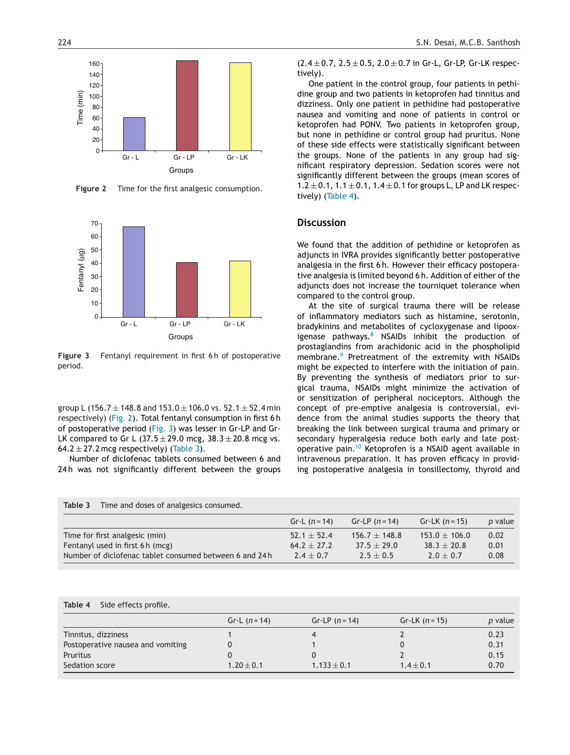

**Figure 2** Time for the first analgesic consumption.



**Figure 3** Fentanyl requirement in first 6 h of postoperative period.

group L (156.7  $\pm$  148.8 and 153.0  $\pm$  106.0 vs. 52.1  $\pm$  52.4 min respectively) (Fig. 2). Total fentanyl consumption in first 6 h of postoperative period (Fig. 3) was lesser in Gr-LP and Gr-LK compared to Gr L  $(37.5 \pm 29.0 \text{ mcg}, 38.3 \pm 20.8 \text{ mcg} \text{ vs.})$ 64.2  $\pm$  27.2 mcg respectively) (Table 3).

Number of diclofenac tablets consumed between 6 and 24h was not significantly different between the groups

**Table 3** Time and doses of analgesics consumed.

 $(2.4 \pm 0.7, 2.5 \pm 0.5, 2.0 \pm 0.7)$  in Gr-L, Gr-LP, Gr-LK respectively).

One patient in the control group, four patients in pethidine group and two patients in ketoprofen had tinnitus and dizziness. Only one patient in pethidine had postoperative nausea and vomiting and none of patients in control or ketoprofen had PONV. Two patients in ketoprofen group, but none in pethidine or control group had pruritus. None of these side effects were statistically significant between the groups. None of the patients in any group had significant respiratory depression. Sedation scores were not significantly different between the groups (mean scores of  $1.2 \pm 0.1$ ,  $1.1 \pm 0.1$ ,  $1.4 \pm 0.1$  for groups L, LP and LK respectively) (Table 4).

# **Discussion**

We found that the addition of pethidine or ketoprofen as adjuncts in IVRA provides significantly better postoperative analgesia in the first 6 h. However their efficacy postoperative analgesia is limited beyond 6 h. Addition of either of the adjuncts does not increase the tourniquet tolerance when compared to the control group.

At the site of surgical trauma there will be release of inflammatory mediators such as histamine, serotonin, bradykinins and metabolites of cycloxygenase and lipooxigenase pathways. $8$  NSAIDs inhibit the production of prostaglandins from arachidonic acid in the phospholipid membrane.<sup>[9](#page-4-0)</sup> Pretreatment of the extremity with NSAIDs might be expected to interfere with the initiation of pain. By preventing the synthesis of mediators prior to surgical trauma, NSAIDs might minimize the activation of or sensitization of peripheral nociceptors. Although the concept of pre-emptive analgesia is controversial, evidence from the animal studies supports the theory that breaking the link between surgical trauma and primary or secondary hyperalgesia reduce both early and late postoperative pain.[10](#page-4-0) Ketoprofen is a NSAID agent available in intravenous preparation. It has proven efficacy in providing postoperative analgesia in tonsillectomy, thyroid and

|                                                        | Gr-L $(n = 14)$ | $Gr-LP (n=14)$  | $Gr-LK (n=15)$    | <i>p</i> value |
|--------------------------------------------------------|-----------------|-----------------|-------------------|----------------|
| Time for first analgesic (min)                         | $52.1 \pm 52.4$ | $156.7 + 148.8$ | $153.0 \pm 106.0$ | 0.02           |
| Fentanyl used in first 6 h (mcg)                       | $64.2 \pm 27.2$ | $37.5 + 29.0$   | $38.3 \pm 20.8$   | 0.01           |
| Number of diclofenac tablet consumed between 6 and 24h | $7.4 + 0.7$     | $7.5 + 0.5$     | $7.0 + 0.7$       | 0.08           |

## **Table 4** Side effects profile.

|                                   | Gr-L $(n = 14)$ | Gr-LP $(n = 14)$ | $Gr-LK$ (n = 15) | p value |
|-----------------------------------|-----------------|------------------|------------------|---------|
| Tinnitus, dizziness               |                 |                  |                  | 0.23    |
| Postoperative nausea and vomiting |                 |                  |                  | 0.31    |
| Pruritus                          |                 |                  |                  | 0.15    |
| Sedation score                    | $1.20 \pm 0.1$  | $1.133 \pm 0.1$  | $1.4 \pm 0.1$    | 0.70    |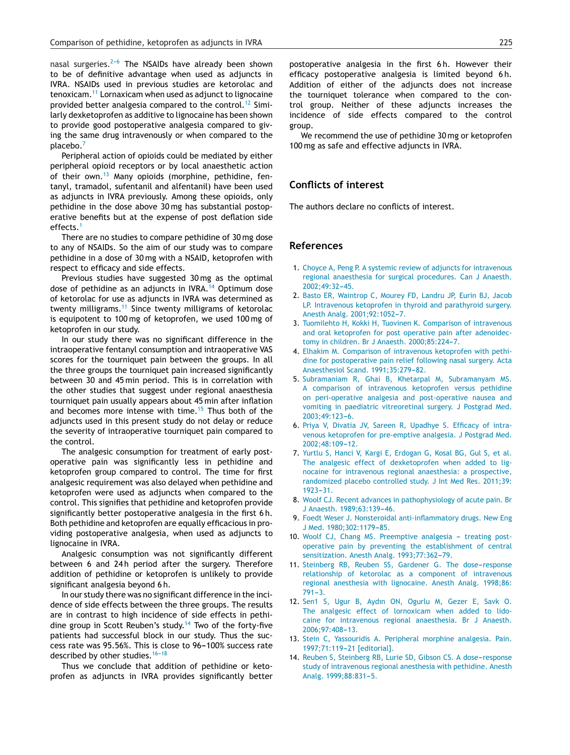<span id="page-4-0"></span>nasal surgeries. $2-6$  The NSAIDs have already been shown to be of definitive advantage when used as adjuncts in IVRA. NSAIDs used in previous studies are ketorolac and tenoxicam.<sup>11</sup> Lornaxicam when used as adjunct to lignocaine provided better analgesia compared to the control.<sup>12</sup> Similarly dexketoprofen as additive to lignocaine has been shown to provide good postoperative analgesia compared to giving the same drug intravenously or when compared to the placebo.<sup>7</sup>

Peripheral action of opioids could be mediated by either peripheral opioid receptors or by local anaesthetic action of their own.<sup>13</sup> Many opioids (morphine, pethidine, fentanyl, tramadol, sufentanil and alfentanil) have been used as adjuncts in IVRA previously. Among these opioids, only pethidine in the dose above 30 mg has substantial postoperative benefits but at the expense of post deflation side effects.<sup>1</sup>

There are no studies to compare pethidine of 30 mg dose to any of NSAIDs. So the aim of our study was to compare pethidine in a dose of 30 mg with a NSAID, ketoprofen with respect to efficacy and side effects.

Previous studies have suggested 30 mg as the optimal dose of pethidine as an adjuncts in IVRA.<sup>14</sup> Optimum dose of ketorolac for use as adjuncts in IVRA was determined as twenty milligrams.<sup>11</sup> Since twenty milligrams of ketorolac is equipotent to 100 mg of ketoprofen, we used 100 mg of ketoprofen in our study.

In our study there was no significant difference in the intraoperative fentanyl consumption and intraoperative VAS scores for the tourniquet pain between the groups. In all the three groups the tourniquet pain increased significantly between 30 and 45 min period. This is in correlation with the other studies that suggest under regional anaesthesia tourniquet pain usually appears about 45 min after inflation and becomes more intense with time.<sup>[15](#page-5-0)</sup> Thus both of the adjuncts used in this present study do not delay or reduce the severity of intraoperative tourniquet pain compared to the control.

The analgesic consumption for treatment of early postoperative pain was significantly less in pethidine and ketoprofen group compared to control. The time for first analgesic requirement was also delayed when pethidine and ketoprofen were used as adjuncts when compared to the control. This signifies that pethidine and ketoprofen provide significantly better postoperative analgesia in the first 6 h. Both pethidine and ketoprofen are equally efficacious in providing postoperative analgesia, when used as adjuncts to lignocaine in IVRA.

Analgesic consumption was not significantly different between 6 and 24h period after the surgery. Therefore addition of pethidine or ketoprofen is unlikely to provide significant analgesia beyond 6 h.

In our study there was no significant difference in the incidence of side effects between the three groups. The results are in contrast to high incidence of side effects in pethidine group in Scott Reuben's study.<sup>14</sup> Two of the forty-five patients had successful block in our study. Thus the success rate was 95.56%. This is close to 96-100% success rate described by other studies.  $16-18$ 

Thus we conclude that addition of pethidine or ketoprofen as adjuncts in IVRA provides significantly better postoperative analgesia in the first 6 h. However their efficacy postoperative analgesia is limited beyond 6 h. Addition of either of the adjuncts does not increase the tourniquet tolerance when compared to the control group. Neither of these adjuncts increases the incidence of side effects compared to the control group.

We recommend the use of pethidine 30 mg or ketoprofen 100 mg as safe and effective adjuncts in IVRA.

## **Conflicts of interest**

The authors declare no conflicts of interest.

#### **References**

- 1. [Choyce](http://refhub.elsevier.com/S0104-0014(13)00158-9/sbref0005) [A,](http://refhub.elsevier.com/S0104-0014(13)00158-9/sbref0005) [Peng](http://refhub.elsevier.com/S0104-0014(13)00158-9/sbref0005) [P.](http://refhub.elsevier.com/S0104-0014(13)00158-9/sbref0005) [A](http://refhub.elsevier.com/S0104-0014(13)00158-9/sbref0005) [systemic](http://refhub.elsevier.com/S0104-0014(13)00158-9/sbref0005) [review](http://refhub.elsevier.com/S0104-0014(13)00158-9/sbref0005) [of](http://refhub.elsevier.com/S0104-0014(13)00158-9/sbref0005) [adjuncts](http://refhub.elsevier.com/S0104-0014(13)00158-9/sbref0005) [for](http://refhub.elsevier.com/S0104-0014(13)00158-9/sbref0005) [intravenous](http://refhub.elsevier.com/S0104-0014(13)00158-9/sbref0005) [regional](http://refhub.elsevier.com/S0104-0014(13)00158-9/sbref0005) [anaesthesia](http://refhub.elsevier.com/S0104-0014(13)00158-9/sbref0005) [for](http://refhub.elsevier.com/S0104-0014(13)00158-9/sbref0005) [surgical](http://refhub.elsevier.com/S0104-0014(13)00158-9/sbref0005) [procedures.](http://refhub.elsevier.com/S0104-0014(13)00158-9/sbref0005) [Can](http://refhub.elsevier.com/S0104-0014(13)00158-9/sbref0005) [J](http://refhub.elsevier.com/S0104-0014(13)00158-9/sbref0005) [Anaesth.](http://refhub.elsevier.com/S0104-0014(13)00158-9/sbref0005) 2002;49:32-45.
- 2. [Basto](http://refhub.elsevier.com/S0104-0014(13)00158-9/sbref0010) [ER,](http://refhub.elsevier.com/S0104-0014(13)00158-9/sbref0010) [Waintrop](http://refhub.elsevier.com/S0104-0014(13)00158-9/sbref0010) [C,](http://refhub.elsevier.com/S0104-0014(13)00158-9/sbref0010) [Mourey](http://refhub.elsevier.com/S0104-0014(13)00158-9/sbref0010) [FD,](http://refhub.elsevier.com/S0104-0014(13)00158-9/sbref0010) [Landru](http://refhub.elsevier.com/S0104-0014(13)00158-9/sbref0010) [JP,](http://refhub.elsevier.com/S0104-0014(13)00158-9/sbref0010) [Eurin](http://refhub.elsevier.com/S0104-0014(13)00158-9/sbref0010) [BJ,](http://refhub.elsevier.com/S0104-0014(13)00158-9/sbref0010) [Jacob](http://refhub.elsevier.com/S0104-0014(13)00158-9/sbref0010) [LP.](http://refhub.elsevier.com/S0104-0014(13)00158-9/sbref0010) [Intravenous](http://refhub.elsevier.com/S0104-0014(13)00158-9/sbref0010) [ketoprofen](http://refhub.elsevier.com/S0104-0014(13)00158-9/sbref0010) [in](http://refhub.elsevier.com/S0104-0014(13)00158-9/sbref0010) [thyroid](http://refhub.elsevier.com/S0104-0014(13)00158-9/sbref0010) [and](http://refhub.elsevier.com/S0104-0014(13)00158-9/sbref0010) [parathyroid](http://refhub.elsevier.com/S0104-0014(13)00158-9/sbref0010) [surgery.](http://refhub.elsevier.com/S0104-0014(13)00158-9/sbref0010) [Anesth](http://refhub.elsevier.com/S0104-0014(13)00158-9/sbref0010) [Analg.](http://refhub.elsevier.com/S0104-0014(13)00158-9/sbref0010) 2001;92:1052-7.
- 3. [Tuomilehto](http://refhub.elsevier.com/S0104-0014(13)00158-9/sbref0015) [H,](http://refhub.elsevier.com/S0104-0014(13)00158-9/sbref0015) [Kokki](http://refhub.elsevier.com/S0104-0014(13)00158-9/sbref0015) [H,](http://refhub.elsevier.com/S0104-0014(13)00158-9/sbref0015) [Tuovinen](http://refhub.elsevier.com/S0104-0014(13)00158-9/sbref0015) [K.](http://refhub.elsevier.com/S0104-0014(13)00158-9/sbref0015) [Comparison](http://refhub.elsevier.com/S0104-0014(13)00158-9/sbref0015) [of](http://refhub.elsevier.com/S0104-0014(13)00158-9/sbref0015) [intravenous](http://refhub.elsevier.com/S0104-0014(13)00158-9/sbref0015) [and](http://refhub.elsevier.com/S0104-0014(13)00158-9/sbref0015) [oral](http://refhub.elsevier.com/S0104-0014(13)00158-9/sbref0015) [ketoprofen](http://refhub.elsevier.com/S0104-0014(13)00158-9/sbref0015) [for](http://refhub.elsevier.com/S0104-0014(13)00158-9/sbref0015) [post](http://refhub.elsevier.com/S0104-0014(13)00158-9/sbref0015) [operative](http://refhub.elsevier.com/S0104-0014(13)00158-9/sbref0015) [pain](http://refhub.elsevier.com/S0104-0014(13)00158-9/sbref0015) [after](http://refhub.elsevier.com/S0104-0014(13)00158-9/sbref0015) [adenoidec](http://refhub.elsevier.com/S0104-0014(13)00158-9/sbref0015)[tomy](http://refhub.elsevier.com/S0104-0014(13)00158-9/sbref0015) [in](http://refhub.elsevier.com/S0104-0014(13)00158-9/sbref0015) [children.](http://refhub.elsevier.com/S0104-0014(13)00158-9/sbref0015) [Br](http://refhub.elsevier.com/S0104-0014(13)00158-9/sbref0015) [J](http://refhub.elsevier.com/S0104-0014(13)00158-9/sbref0015) [Anaesth.](http://refhub.elsevier.com/S0104-0014(13)00158-9/sbref0015) 2000;85:224-7.
- 4. [Elhakim](http://refhub.elsevier.com/S0104-0014(13)00158-9/sbref0020) [M.](http://refhub.elsevier.com/S0104-0014(13)00158-9/sbref0020) [Comparison](http://refhub.elsevier.com/S0104-0014(13)00158-9/sbref0020) [of](http://refhub.elsevier.com/S0104-0014(13)00158-9/sbref0020) [intravenous](http://refhub.elsevier.com/S0104-0014(13)00158-9/sbref0020) [ketoprofen](http://refhub.elsevier.com/S0104-0014(13)00158-9/sbref0020) [with](http://refhub.elsevier.com/S0104-0014(13)00158-9/sbref0020) [pethi](http://refhub.elsevier.com/S0104-0014(13)00158-9/sbref0020)[dine](http://refhub.elsevier.com/S0104-0014(13)00158-9/sbref0020) [for](http://refhub.elsevier.com/S0104-0014(13)00158-9/sbref0020) [postoperative](http://refhub.elsevier.com/S0104-0014(13)00158-9/sbref0020) [pain](http://refhub.elsevier.com/S0104-0014(13)00158-9/sbref0020) [relief](http://refhub.elsevier.com/S0104-0014(13)00158-9/sbref0020) [following](http://refhub.elsevier.com/S0104-0014(13)00158-9/sbref0020) [nasal](http://refhub.elsevier.com/S0104-0014(13)00158-9/sbref0020) [surgery.](http://refhub.elsevier.com/S0104-0014(13)00158-9/sbref0020) [Acta](http://refhub.elsevier.com/S0104-0014(13)00158-9/sbref0020) [Anaesthesiol](http://refhub.elsevier.com/S0104-0014(13)00158-9/sbref0020) [Scand.](http://refhub.elsevier.com/S0104-0014(13)00158-9/sbref0020) 1991;35:279-82.
- 5. [Subramaniam](http://refhub.elsevier.com/S0104-0014(13)00158-9/sbref0025) [R,](http://refhub.elsevier.com/S0104-0014(13)00158-9/sbref0025) [Ghai](http://refhub.elsevier.com/S0104-0014(13)00158-9/sbref0025) [B,](http://refhub.elsevier.com/S0104-0014(13)00158-9/sbref0025) [Khetarpal](http://refhub.elsevier.com/S0104-0014(13)00158-9/sbref0025) [M,](http://refhub.elsevier.com/S0104-0014(13)00158-9/sbref0025) [Subramanyam](http://refhub.elsevier.com/S0104-0014(13)00158-9/sbref0025) [MS.](http://refhub.elsevier.com/S0104-0014(13)00158-9/sbref0025) [A](http://refhub.elsevier.com/S0104-0014(13)00158-9/sbref0025) [comparison](http://refhub.elsevier.com/S0104-0014(13)00158-9/sbref0025) [of](http://refhub.elsevier.com/S0104-0014(13)00158-9/sbref0025) [intravenous](http://refhub.elsevier.com/S0104-0014(13)00158-9/sbref0025) [ketoprofen](http://refhub.elsevier.com/S0104-0014(13)00158-9/sbref0025) [versus](http://refhub.elsevier.com/S0104-0014(13)00158-9/sbref0025) [pethidine](http://refhub.elsevier.com/S0104-0014(13)00158-9/sbref0025) [on](http://refhub.elsevier.com/S0104-0014(13)00158-9/sbref0025) [peri-operative](http://refhub.elsevier.com/S0104-0014(13)00158-9/sbref0025) [analgesia](http://refhub.elsevier.com/S0104-0014(13)00158-9/sbref0025) [and](http://refhub.elsevier.com/S0104-0014(13)00158-9/sbref0025) [post-operative](http://refhub.elsevier.com/S0104-0014(13)00158-9/sbref0025) [nausea](http://refhub.elsevier.com/S0104-0014(13)00158-9/sbref0025) [and](http://refhub.elsevier.com/S0104-0014(13)00158-9/sbref0025) [vomiting](http://refhub.elsevier.com/S0104-0014(13)00158-9/sbref0025) [in](http://refhub.elsevier.com/S0104-0014(13)00158-9/sbref0025) [paediatric](http://refhub.elsevier.com/S0104-0014(13)00158-9/sbref0025) [vitreoretinal](http://refhub.elsevier.com/S0104-0014(13)00158-9/sbref0025) [surgery.](http://refhub.elsevier.com/S0104-0014(13)00158-9/sbref0025) [J](http://refhub.elsevier.com/S0104-0014(13)00158-9/sbref0025) [Postgrad](http://refhub.elsevier.com/S0104-0014(13)00158-9/sbref0025) [Med.](http://refhub.elsevier.com/S0104-0014(13)00158-9/sbref0025) 2003:49:123-6.
- 6. [Priya](http://refhub.elsevier.com/S0104-0014(13)00158-9/sbref0030) [V,](http://refhub.elsevier.com/S0104-0014(13)00158-9/sbref0030) [Divatia](http://refhub.elsevier.com/S0104-0014(13)00158-9/sbref0030) [JV,](http://refhub.elsevier.com/S0104-0014(13)00158-9/sbref0030) [Sareen](http://refhub.elsevier.com/S0104-0014(13)00158-9/sbref0030) [R,](http://refhub.elsevier.com/S0104-0014(13)00158-9/sbref0030) [Upadhye](http://refhub.elsevier.com/S0104-0014(13)00158-9/sbref0030) [S.](http://refhub.elsevier.com/S0104-0014(13)00158-9/sbref0030) [Efficacy](http://refhub.elsevier.com/S0104-0014(13)00158-9/sbref0030) [of](http://refhub.elsevier.com/S0104-0014(13)00158-9/sbref0030) [intra](http://refhub.elsevier.com/S0104-0014(13)00158-9/sbref0030)[venous](http://refhub.elsevier.com/S0104-0014(13)00158-9/sbref0030) [ketoprofen](http://refhub.elsevier.com/S0104-0014(13)00158-9/sbref0030) [for](http://refhub.elsevier.com/S0104-0014(13)00158-9/sbref0030) [pre-emptive](http://refhub.elsevier.com/S0104-0014(13)00158-9/sbref0030) [analgesia.](http://refhub.elsevier.com/S0104-0014(13)00158-9/sbref0030) [J](http://refhub.elsevier.com/S0104-0014(13)00158-9/sbref0030) [Postgrad](http://refhub.elsevier.com/S0104-0014(13)00158-9/sbref0030) [Med.](http://refhub.elsevier.com/S0104-0014(13)00158-9/sbref0030) [2002;48:109](http://refhub.elsevier.com/S0104-0014(13)00158-9/sbref0030)-[12.](http://refhub.elsevier.com/S0104-0014(13)00158-9/sbref0030)
- 7. [Yurtlu](http://refhub.elsevier.com/S0104-0014(13)00158-9/sbref0035) [S,](http://refhub.elsevier.com/S0104-0014(13)00158-9/sbref0035) [Hanci](http://refhub.elsevier.com/S0104-0014(13)00158-9/sbref0035) [V,](http://refhub.elsevier.com/S0104-0014(13)00158-9/sbref0035) [Kargi](http://refhub.elsevier.com/S0104-0014(13)00158-9/sbref0035) [E,](http://refhub.elsevier.com/S0104-0014(13)00158-9/sbref0035) [Erdogan](http://refhub.elsevier.com/S0104-0014(13)00158-9/sbref0035) [G,](http://refhub.elsevier.com/S0104-0014(13)00158-9/sbref0035) [Kosal](http://refhub.elsevier.com/S0104-0014(13)00158-9/sbref0035) [BG,](http://refhub.elsevier.com/S0104-0014(13)00158-9/sbref0035) [Gul](http://refhub.elsevier.com/S0104-0014(13)00158-9/sbref0035) [S,](http://refhub.elsevier.com/S0104-0014(13)00158-9/sbref0035) [et](http://refhub.elsevier.com/S0104-0014(13)00158-9/sbref0035) [al.](http://refhub.elsevier.com/S0104-0014(13)00158-9/sbref0035) [The](http://refhub.elsevier.com/S0104-0014(13)00158-9/sbref0035) [analgesic](http://refhub.elsevier.com/S0104-0014(13)00158-9/sbref0035) [effect](http://refhub.elsevier.com/S0104-0014(13)00158-9/sbref0035) [of](http://refhub.elsevier.com/S0104-0014(13)00158-9/sbref0035) [dexketoprofen](http://refhub.elsevier.com/S0104-0014(13)00158-9/sbref0035) [when](http://refhub.elsevier.com/S0104-0014(13)00158-9/sbref0035) [added](http://refhub.elsevier.com/S0104-0014(13)00158-9/sbref0035) [to](http://refhub.elsevier.com/S0104-0014(13)00158-9/sbref0035) [lig](http://refhub.elsevier.com/S0104-0014(13)00158-9/sbref0035)[nocaine](http://refhub.elsevier.com/S0104-0014(13)00158-9/sbref0035) [for](http://refhub.elsevier.com/S0104-0014(13)00158-9/sbref0035) [intravenous](http://refhub.elsevier.com/S0104-0014(13)00158-9/sbref0035) [regional](http://refhub.elsevier.com/S0104-0014(13)00158-9/sbref0035) [anaesthesia:](http://refhub.elsevier.com/S0104-0014(13)00158-9/sbref0035) [a](http://refhub.elsevier.com/S0104-0014(13)00158-9/sbref0035) [prospective,](http://refhub.elsevier.com/S0104-0014(13)00158-9/sbref0035) [randomized](http://refhub.elsevier.com/S0104-0014(13)00158-9/sbref0035) [placebo](http://refhub.elsevier.com/S0104-0014(13)00158-9/sbref0035) [controlled](http://refhub.elsevier.com/S0104-0014(13)00158-9/sbref0035) [study.](http://refhub.elsevier.com/S0104-0014(13)00158-9/sbref0035) [J](http://refhub.elsevier.com/S0104-0014(13)00158-9/sbref0035) [Int](http://refhub.elsevier.com/S0104-0014(13)00158-9/sbref0035) [Med](http://refhub.elsevier.com/S0104-0014(13)00158-9/sbref0035) [Res.](http://refhub.elsevier.com/S0104-0014(13)00158-9/sbref0035) [2011;39:](http://refhub.elsevier.com/S0104-0014(13)00158-9/sbref0035)  $1923 - 31.$  $1923 - 31.$  $1923 - 31.$
- 8. [Woolf](http://refhub.elsevier.com/S0104-0014(13)00158-9/sbref0040) [CJ.](http://refhub.elsevier.com/S0104-0014(13)00158-9/sbref0040) [Recent](http://refhub.elsevier.com/S0104-0014(13)00158-9/sbref0040) [advances](http://refhub.elsevier.com/S0104-0014(13)00158-9/sbref0040) [in](http://refhub.elsevier.com/S0104-0014(13)00158-9/sbref0040) [pathophysiology](http://refhub.elsevier.com/S0104-0014(13)00158-9/sbref0040) [of](http://refhub.elsevier.com/S0104-0014(13)00158-9/sbref0040) [acute](http://refhub.elsevier.com/S0104-0014(13)00158-9/sbref0040) [pain.](http://refhub.elsevier.com/S0104-0014(13)00158-9/sbref0040) [Br](http://refhub.elsevier.com/S0104-0014(13)00158-9/sbref0040) [J](http://refhub.elsevier.com/S0104-0014(13)00158-9/sbref0040) [Anaesth.](http://refhub.elsevier.com/S0104-0014(13)00158-9/sbref0040) [1989;63:139](http://refhub.elsevier.com/S0104-0014(13)00158-9/sbref0040)-[46.](http://refhub.elsevier.com/S0104-0014(13)00158-9/sbref0040)
- 9. [Foedt](http://refhub.elsevier.com/S0104-0014(13)00158-9/sbref0045) [Weser](http://refhub.elsevier.com/S0104-0014(13)00158-9/sbref0045) [J.](http://refhub.elsevier.com/S0104-0014(13)00158-9/sbref0045) [Nonsteroidal](http://refhub.elsevier.com/S0104-0014(13)00158-9/sbref0045) [anti-inflammatory](http://refhub.elsevier.com/S0104-0014(13)00158-9/sbref0045) [drugs.](http://refhub.elsevier.com/S0104-0014(13)00158-9/sbref0045) [New](http://refhub.elsevier.com/S0104-0014(13)00158-9/sbref0045) [Eng](http://refhub.elsevier.com/S0104-0014(13)00158-9/sbref0045) [J](http://refhub.elsevier.com/S0104-0014(13)00158-9/sbref0045) [Med.](http://refhub.elsevier.com/S0104-0014(13)00158-9/sbref0045) 1980;302:1179-85.
- 10. [Woolf](http://refhub.elsevier.com/S0104-0014(13)00158-9/sbref0050) [CJ,](http://refhub.elsevier.com/S0104-0014(13)00158-9/sbref0050) [Chang](http://refhub.elsevier.com/S0104-0014(13)00158-9/sbref0050) [MS.](http://refhub.elsevier.com/S0104-0014(13)00158-9/sbref0050) [Preemptive](http://refhub.elsevier.com/S0104-0014(13)00158-9/sbref0050) [analgesia](http://refhub.elsevier.com/S0104-0014(13)00158-9/sbref0050) [treating](http://refhub.elsevier.com/S0104-0014(13)00158-9/sbref0050) [post](http://refhub.elsevier.com/S0104-0014(13)00158-9/sbref0050)[operative](http://refhub.elsevier.com/S0104-0014(13)00158-9/sbref0050) [pain](http://refhub.elsevier.com/S0104-0014(13)00158-9/sbref0050) [by](http://refhub.elsevier.com/S0104-0014(13)00158-9/sbref0050) [preventing](http://refhub.elsevier.com/S0104-0014(13)00158-9/sbref0050) [the](http://refhub.elsevier.com/S0104-0014(13)00158-9/sbref0050) [establishment](http://refhub.elsevier.com/S0104-0014(13)00158-9/sbref0050) [of](http://refhub.elsevier.com/S0104-0014(13)00158-9/sbref0050) [central](http://refhub.elsevier.com/S0104-0014(13)00158-9/sbref0050) [sensitization.](http://refhub.elsevier.com/S0104-0014(13)00158-9/sbref0050) [Anesth](http://refhub.elsevier.com/S0104-0014(13)00158-9/sbref0050) [Analg.](http://refhub.elsevier.com/S0104-0014(13)00158-9/sbref0050) 1993;77:362-79.
- 11. [Steinberg](http://refhub.elsevier.com/S0104-0014(13)00158-9/sbref0055) [RB,](http://refhub.elsevier.com/S0104-0014(13)00158-9/sbref0055) [Reuben](http://refhub.elsevier.com/S0104-0014(13)00158-9/sbref0055) [SS,](http://refhub.elsevier.com/S0104-0014(13)00158-9/sbref0055) [Gardener](http://refhub.elsevier.com/S0104-0014(13)00158-9/sbref0055) [G.](http://refhub.elsevier.com/S0104-0014(13)00158-9/sbref0055) [The](http://refhub.elsevier.com/S0104-0014(13)00158-9/sbref0055) dose-response [relationship](http://refhub.elsevier.com/S0104-0014(13)00158-9/sbref0055) [of](http://refhub.elsevier.com/S0104-0014(13)00158-9/sbref0055) [ketorolac](http://refhub.elsevier.com/S0104-0014(13)00158-9/sbref0055) [as](http://refhub.elsevier.com/S0104-0014(13)00158-9/sbref0055) [a](http://refhub.elsevier.com/S0104-0014(13)00158-9/sbref0055) [component](http://refhub.elsevier.com/S0104-0014(13)00158-9/sbref0055) [of](http://refhub.elsevier.com/S0104-0014(13)00158-9/sbref0055) [intravenous](http://refhub.elsevier.com/S0104-0014(13)00158-9/sbref0055) [regional](http://refhub.elsevier.com/S0104-0014(13)00158-9/sbref0055) [anesthesia](http://refhub.elsevier.com/S0104-0014(13)00158-9/sbref0055) [with](http://refhub.elsevier.com/S0104-0014(13)00158-9/sbref0055) [lignocaine.](http://refhub.elsevier.com/S0104-0014(13)00158-9/sbref0055) [Anesth](http://refhub.elsevier.com/S0104-0014(13)00158-9/sbref0055) [Analg.](http://refhub.elsevier.com/S0104-0014(13)00158-9/sbref0055) [1998;86:](http://refhub.elsevier.com/S0104-0014(13)00158-9/sbref0055)  $791 - 3.$
- 12. [Sen1](http://refhub.elsevier.com/S0104-0014(13)00158-9/sbref0060) [S,](http://refhub.elsevier.com/S0104-0014(13)00158-9/sbref0060) [Ugur](http://refhub.elsevier.com/S0104-0014(13)00158-9/sbref0060) [B,](http://refhub.elsevier.com/S0104-0014(13)00158-9/sbref0060) [Aydın](http://refhub.elsevier.com/S0104-0014(13)00158-9/sbref0060) [ON,](http://refhub.elsevier.com/S0104-0014(13)00158-9/sbref0060) [Ogurlu](http://refhub.elsevier.com/S0104-0014(13)00158-9/sbref0060) [M,](http://refhub.elsevier.com/S0104-0014(13)00158-9/sbref0060) [Gezer](http://refhub.elsevier.com/S0104-0014(13)00158-9/sbref0060) [E,](http://refhub.elsevier.com/S0104-0014(13)00158-9/sbref0060) [Savk](http://refhub.elsevier.com/S0104-0014(13)00158-9/sbref0060) [O.](http://refhub.elsevier.com/S0104-0014(13)00158-9/sbref0060) [The](http://refhub.elsevier.com/S0104-0014(13)00158-9/sbref0060) [analgesic](http://refhub.elsevier.com/S0104-0014(13)00158-9/sbref0060) [effect](http://refhub.elsevier.com/S0104-0014(13)00158-9/sbref0060) [of](http://refhub.elsevier.com/S0104-0014(13)00158-9/sbref0060) [lornoxicam](http://refhub.elsevier.com/S0104-0014(13)00158-9/sbref0060) [when](http://refhub.elsevier.com/S0104-0014(13)00158-9/sbref0060) [added](http://refhub.elsevier.com/S0104-0014(13)00158-9/sbref0060) [to](http://refhub.elsevier.com/S0104-0014(13)00158-9/sbref0060) [lido](http://refhub.elsevier.com/S0104-0014(13)00158-9/sbref0060)[caine](http://refhub.elsevier.com/S0104-0014(13)00158-9/sbref0060) [for](http://refhub.elsevier.com/S0104-0014(13)00158-9/sbref0060) [intravenous](http://refhub.elsevier.com/S0104-0014(13)00158-9/sbref0060) [regional](http://refhub.elsevier.com/S0104-0014(13)00158-9/sbref0060) [anaesthesia.](http://refhub.elsevier.com/S0104-0014(13)00158-9/sbref0060) [Br](http://refhub.elsevier.com/S0104-0014(13)00158-9/sbref0060) [J](http://refhub.elsevier.com/S0104-0014(13)00158-9/sbref0060) [Anaesth.](http://refhub.elsevier.com/S0104-0014(13)00158-9/sbref0060)  $2006:97:408-13$
- 13. [Stein](http://refhub.elsevier.com/S0104-0014(13)00158-9/sbref0065) [C,](http://refhub.elsevier.com/S0104-0014(13)00158-9/sbref0065) [Yassouridis](http://refhub.elsevier.com/S0104-0014(13)00158-9/sbref0065) [A.](http://refhub.elsevier.com/S0104-0014(13)00158-9/sbref0065) [Peripheral](http://refhub.elsevier.com/S0104-0014(13)00158-9/sbref0065) [morphine](http://refhub.elsevier.com/S0104-0014(13)00158-9/sbref0065) [analgesia.](http://refhub.elsevier.com/S0104-0014(13)00158-9/sbref0065) [Pain.](http://refhub.elsevier.com/S0104-0014(13)00158-9/sbref0065) 1997;71:119-21 [\[editorial\].](http://refhub.elsevier.com/S0104-0014(13)00158-9/sbref0065)
- 14. [Reuben](http://refhub.elsevier.com/S0104-0014(13)00158-9/sbref0070) [S,](http://refhub.elsevier.com/S0104-0014(13)00158-9/sbref0070) [Steinberg](http://refhub.elsevier.com/S0104-0014(13)00158-9/sbref0070) [RB,](http://refhub.elsevier.com/S0104-0014(13)00158-9/sbref0070) [Lurie](http://refhub.elsevier.com/S0104-0014(13)00158-9/sbref0070) [SD,](http://refhub.elsevier.com/S0104-0014(13)00158-9/sbref0070) [Gibson](http://refhub.elsevier.com/S0104-0014(13)00158-9/sbref0070) [CS.](http://refhub.elsevier.com/S0104-0014(13)00158-9/sbref0070) [A](http://refhub.elsevier.com/S0104-0014(13)00158-9/sbref0070) dose-response [study](http://refhub.elsevier.com/S0104-0014(13)00158-9/sbref0070) [of](http://refhub.elsevier.com/S0104-0014(13)00158-9/sbref0070) [intravenous](http://refhub.elsevier.com/S0104-0014(13)00158-9/sbref0070) [regional](http://refhub.elsevier.com/S0104-0014(13)00158-9/sbref0070) [anesthesia](http://refhub.elsevier.com/S0104-0014(13)00158-9/sbref0070) [with](http://refhub.elsevier.com/S0104-0014(13)00158-9/sbref0070) [pethidine.](http://refhub.elsevier.com/S0104-0014(13)00158-9/sbref0070) [Anesth](http://refhub.elsevier.com/S0104-0014(13)00158-9/sbref0070) [Analg.](http://refhub.elsevier.com/S0104-0014(13)00158-9/sbref0070) 1999;88:831-5.